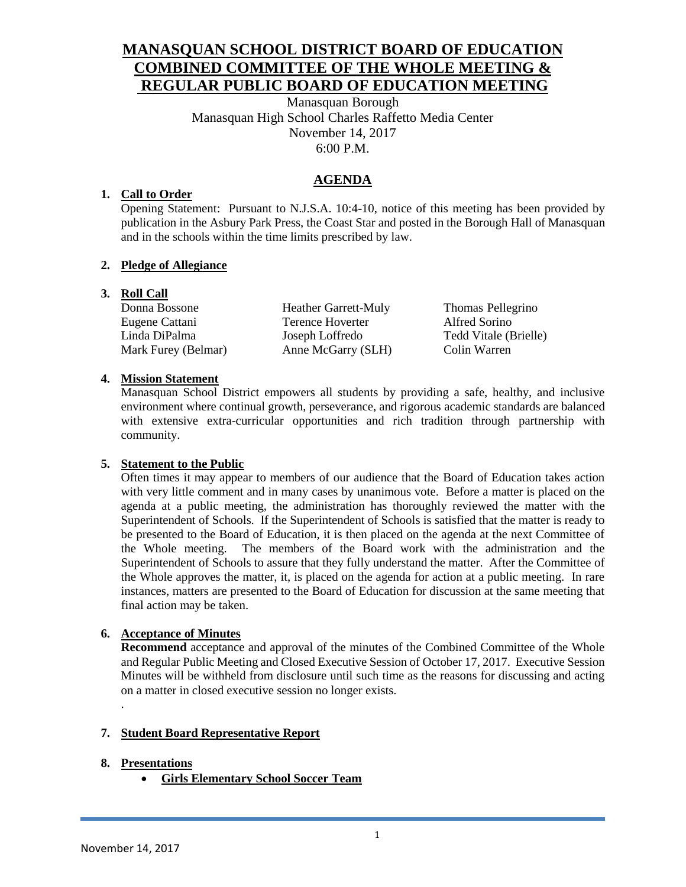# **MANASQUAN SCHOOL DISTRICT BOARD OF EDUCATION COMBINED COMMITTEE OF THE WHOLE MEETING & REGULAR PUBLIC BOARD OF EDUCATION MEETING**

Manasquan Borough Manasquan High School Charles Raffetto Media Center November 14, 2017 6:00 P.M.

# **AGENDA**

#### **1. Call to Order**

Opening Statement: Pursuant to N.J.S.A. 10:4-10, notice of this meeting has been provided by publication in the Asbury Park Press, the Coast Star and posted in the Borough Hall of Manasquan and in the schools within the time limits prescribed by law.

#### **2. Pledge of Allegiance**

#### **3. Roll Call**

Mark Furey (Belmar) Anne McGarry (SLH) Colin Warren

Donna Bossone Heather Garrett-Muly Thomas Pellegrino Eugene Cattani Terence Hoverter Alfred Sorino Linda DiPalma Joseph Loffredo Tedd Vitale (Brielle)

#### **4. Mission Statement**

Manasquan School District empowers all students by providing a safe, healthy, and inclusive environment where continual growth, perseverance, and rigorous academic standards are balanced with extensive extra-curricular opportunities and rich tradition through partnership with community.

#### **5. Statement to the Public**

Often times it may appear to members of our audience that the Board of Education takes action with very little comment and in many cases by unanimous vote. Before a matter is placed on the agenda at a public meeting, the administration has thoroughly reviewed the matter with the Superintendent of Schools. If the Superintendent of Schools is satisfied that the matter is ready to be presented to the Board of Education, it is then placed on the agenda at the next Committee of the Whole meeting. The members of the Board work with the administration and the Superintendent of Schools to assure that they fully understand the matter. After the Committee of the Whole approves the matter, it, is placed on the agenda for action at a public meeting. In rare instances, matters are presented to the Board of Education for discussion at the same meeting that final action may be taken.

#### **6. Acceptance of Minutes**

**Recommend** acceptance and approval of the minutes of the Combined Committee of the Whole and Regular Public Meeting and Closed Executive Session of October 17, 2017. Executive Session Minutes will be withheld from disclosure until such time as the reasons for discussing and acting on a matter in closed executive session no longer exists.

#### **7. Student Board Representative Report**

#### **8. Presentations**

.

**Girls Elementary School Soccer Team**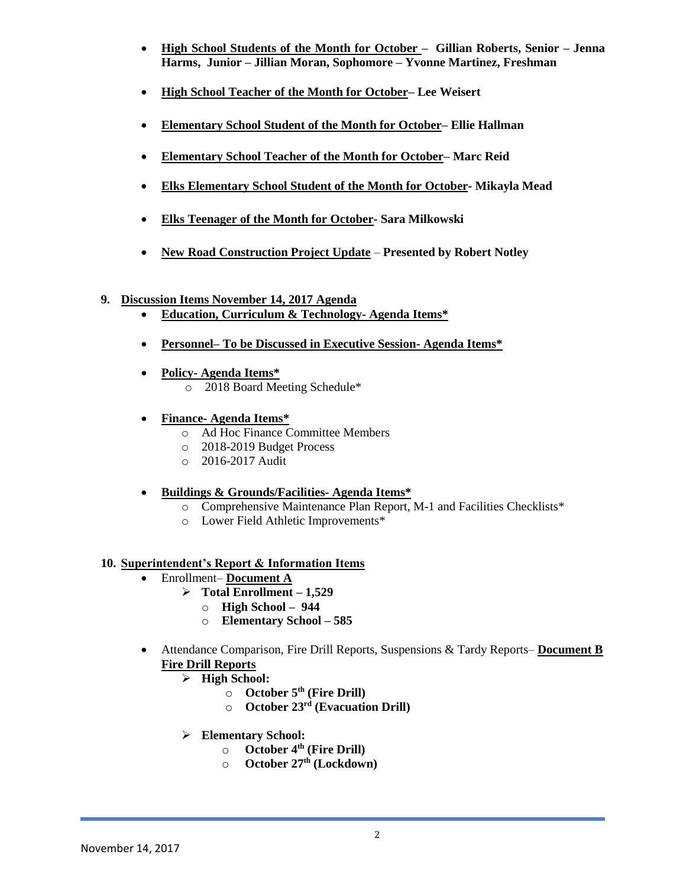- **High School Students of the Month for October Gillian Roberts, Senior – Jenna Harms, Junior – Jillian Moran, Sophomore – Yvonne Martinez, Freshman**
- **High School Teacher of the Month for October– Lee Weisert**
- **Elementary School Student of the Month for October– Ellie Hallman**
- **Elementary School Teacher of the Month for October– Marc Reid**
- **Elks Elementary School Student of the Month for October- Mikayla Mead**
- **Elks Teenager of the Month for October- Sara Milkowski**
- **New Road Construction Project Update Presented by Robert Notley**

#### **9. Discussion Items November 14, 2017 Agenda**

- **Education, Curriculum & Technology- Agenda Items\***
- **Personnel– To be Discussed in Executive Session- Agenda Items\***
- **Policy- Agenda Items\*** o 2018 Board Meeting Schedule\*
- **Finance- Agenda Items\***
	- o Ad Hoc Finance Committee Members
	- o 2018-2019 Budget Process
	- o 2016-2017 Audit

#### **Buildings & Grounds/Facilities- Agenda Items\***

- o Comprehensive Maintenance Plan Report, M-1 and Facilities Checklists\*
- o Lower Field Athletic Improvements\*

#### **10. Superintendent's Report & Information Items**

- Enrollment– **Document A**
	- $\triangleright$  Total Enrollment 1,529
		- o **High School – 944**
		- o **Elementary School – 585**
- Attendance Comparison, Fire Drill Reports, Suspensions & Tardy Reports– **Document B Fire Drill Reports**
	- **High School:**
		- o **October 5th (Fire Drill)**
		- o **October 23rd (Evacuation Drill)**
	- **Elementary School:**
		- o **October 4th (Fire Drill)**
		- o **October 27th (Lockdown)**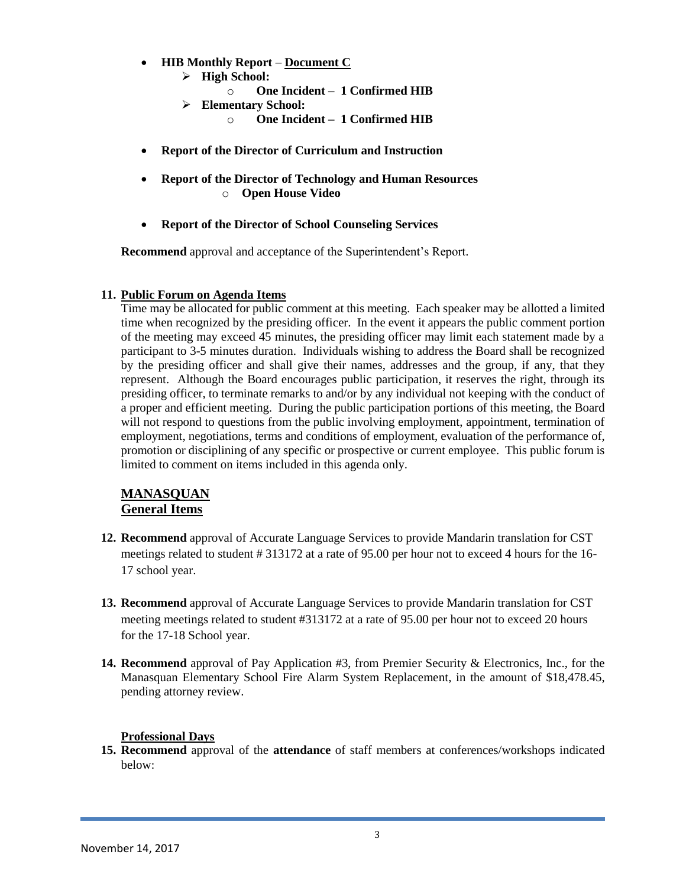- **HIB Monthly Report Document C**
	- **High School:**
		- o **One Incident 1 Confirmed HIB**
		- **Elementary School:**
			- o **One Incident – 1 Confirmed HIB**
- **Report of the Director of Curriculum and Instruction**
- **Report of the Director of Technology and Human Resources** o **Open House Video**
- **Report of the Director of School Counseling Services**

**Recommend** approval and acceptance of the Superintendent's Report.

#### **11. Public Forum on Agenda Items**

Time may be allocated for public comment at this meeting. Each speaker may be allotted a limited time when recognized by the presiding officer. In the event it appears the public comment portion of the meeting may exceed 45 minutes, the presiding officer may limit each statement made by a participant to 3-5 minutes duration. Individuals wishing to address the Board shall be recognized by the presiding officer and shall give their names, addresses and the group, if any, that they represent. Although the Board encourages public participation, it reserves the right, through its presiding officer, to terminate remarks to and/or by any individual not keeping with the conduct of a proper and efficient meeting. During the public participation portions of this meeting, the Board will not respond to questions from the public involving employment, appointment, termination of employment, negotiations, terms and conditions of employment, evaluation of the performance of, promotion or disciplining of any specific or prospective or current employee. This public forum is limited to comment on items included in this agenda only.

#### **MANASQUAN General Items**

- **12. Recommend** approval of Accurate Language Services to provide Mandarin translation for CST meetings related to student # 313172 at a rate of 95.00 per hour not to exceed 4 hours for the 16- 17 school year.
- **13. Recommend** approval of Accurate Language Services to provide Mandarin translation for CST meeting meetings related to student #313172 at a rate of 95.00 per hour not to exceed 20 hours for the 17-18 School year.
- **14. Recommend** approval of Pay Application #3, from Premier Security & Electronics, Inc., for the Manasquan Elementary School Fire Alarm System Replacement, in the amount of \$18,478.45, pending attorney review.

#### **Professional Days**

**15. Recommend** approval of the **attendance** of staff members at conferences/workshops indicated below: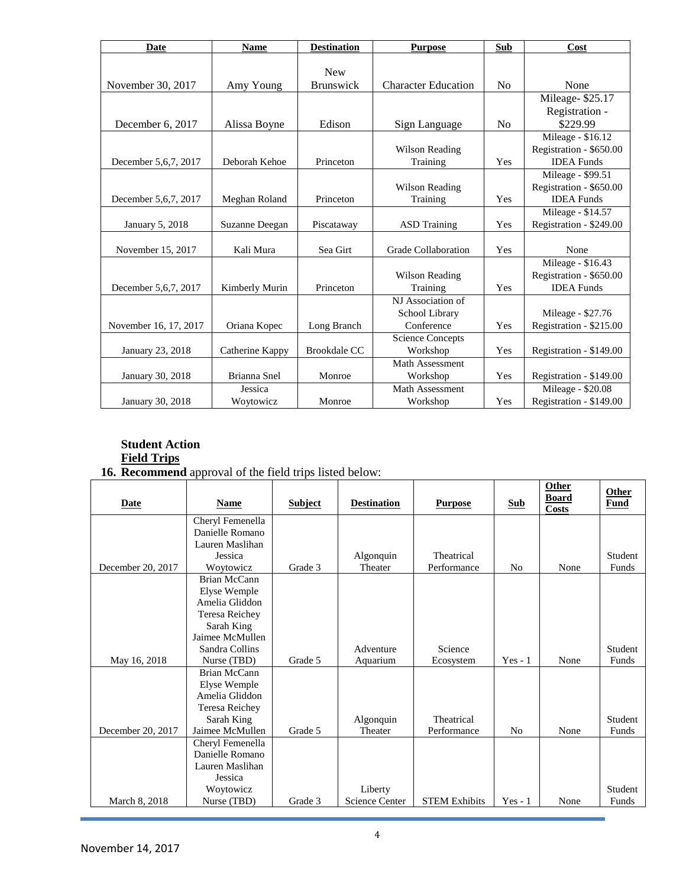| <b>Date</b>            | <b>Name</b>     | <b>Destination</b>  | <b>Purpose</b>             | <b>Sub</b>     | Cost                    |
|------------------------|-----------------|---------------------|----------------------------|----------------|-------------------------|
|                        |                 |                     |                            |                |                         |
|                        |                 | <b>New</b>          |                            |                |                         |
| November 30, 2017      | Amy Young       | <b>Brunswick</b>    | <b>Character Education</b> | No             | None                    |
|                        |                 |                     |                            |                | Mileage-\$25.17         |
|                        |                 |                     |                            |                | Registration -          |
| December 6, 2017       | Alissa Boyne    | Edison              | Sign Language              | N <sub>o</sub> | \$229.99                |
|                        |                 |                     |                            |                | Mileage - \$16.12       |
|                        |                 |                     | Wilson Reading             |                | Registration - \$650.00 |
| December 5, 6, 7, 2017 | Deborah Kehoe   | Princeton           | Training                   | Yes            | <b>IDEA</b> Funds       |
|                        |                 |                     |                            |                | Mileage - \$99.51       |
|                        |                 |                     | Wilson Reading             |                | Registration - \$650.00 |
| December 5, 6, 7, 2017 | Meghan Roland   | Princeton           | Training                   | Yes            | <b>IDEA</b> Funds       |
|                        |                 |                     |                            |                | Mileage - \$14.57       |
| January 5, 2018        | Suzanne Deegan  | Piscataway          | <b>ASD</b> Training        | Yes            | Registration - \$249.00 |
|                        |                 |                     |                            |                |                         |
| November 15, 2017      | Kali Mura       | Sea Girt            | Grade Collaboration        | Yes            | None                    |
|                        |                 |                     |                            |                | Mileage - \$16.43       |
|                        |                 |                     | Wilson Reading             |                | Registration - \$650.00 |
| December 5, 6, 7, 2017 | Kimberly Murin  | Princeton           | Training                   | Yes            | <b>IDEA</b> Funds       |
|                        |                 |                     | NJ Association of          |                |                         |
|                        |                 |                     | School Library             |                | Mileage - \$27.76       |
| November 16, 17, 2017  | Oriana Kopec    | Long Branch         | Conference                 | Yes            | Registration - \$215.00 |
|                        |                 |                     | <b>Science Concepts</b>    |                |                         |
| January 23, 2018       | Catherine Kappy | <b>Brookdale CC</b> | Workshop                   | Yes            | Registration - \$149.00 |
|                        |                 |                     | Math Assessment            |                |                         |
| January 30, 2018       | Brianna Snel    | Monroe              | Workshop                   | Yes            | Registration - \$149.00 |
|                        | Jessica         |                     | <b>Math Assessment</b>     |                | Mileage - \$20.08       |
| January 30, 2018       | Woytowicz       | Monroe              | Workshop                   | Yes            | Registration - \$149.00 |

#### **Student Action Field Trips**

#### **16. Recommend** approval of the field trips listed below:

| <b>Date</b>       | <b>Name</b>                         | <b>Subject</b> | <b>Destination</b>    | <b>Purpose</b>       | <b>Sub</b>     | Other<br><b>Board</b><br>Costs | <b>Other</b><br>Fund |
|-------------------|-------------------------------------|----------------|-----------------------|----------------------|----------------|--------------------------------|----------------------|
|                   | Cheryl Femenella<br>Danielle Romano |                |                       |                      |                |                                |                      |
|                   | Lauren Maslihan                     |                |                       |                      |                |                                |                      |
|                   | Jessica                             |                | Algonquin             | Theatrical           |                |                                | Student              |
| December 20, 2017 | Woytowicz                           | Grade 3        | Theater               | Performance          | N <sub>0</sub> | None                           | Funds                |
|                   | <b>Brian McCann</b>                 |                |                       |                      |                |                                |                      |
|                   | Elyse Wemple                        |                |                       |                      |                |                                |                      |
|                   | Amelia Gliddon                      |                |                       |                      |                |                                |                      |
|                   | Teresa Reichey                      |                |                       |                      |                |                                |                      |
|                   | Sarah King                          |                |                       |                      |                |                                |                      |
|                   | Jaimee McMullen                     |                |                       |                      |                |                                |                      |
|                   | Sandra Collins<br>Nurse (TBD)       | Grade 5        | Adventure             | Science              | $Yes - 1$      | None                           | Student<br>Funds     |
| May 16, 2018      | Brian McCann                        |                | Aquarium              | Ecosystem            |                |                                |                      |
|                   | Elyse Wemple                        |                |                       |                      |                |                                |                      |
|                   | Amelia Gliddon                      |                |                       |                      |                |                                |                      |
|                   | Teresa Reichey                      |                |                       |                      |                |                                |                      |
|                   | Sarah King                          |                | Algonquin             | Theatrical           |                |                                | Student              |
| December 20, 2017 | Jaimee McMullen                     | Grade 5        | Theater               | Performance          | N <sub>0</sub> | None                           | Funds                |
|                   | Cheryl Femenella                    |                |                       |                      |                |                                |                      |
|                   | Danielle Romano                     |                |                       |                      |                |                                |                      |
|                   | Lauren Maslihan                     |                |                       |                      |                |                                |                      |
|                   | Jessica                             |                |                       |                      |                |                                |                      |
|                   | Woytowicz                           |                | Liberty               |                      |                |                                | Student              |
| March 8, 2018     | Nurse (TBD)                         | Grade 3        | <b>Science Center</b> | <b>STEM Exhibits</b> | $Yes - 1$      | None                           | Funds                |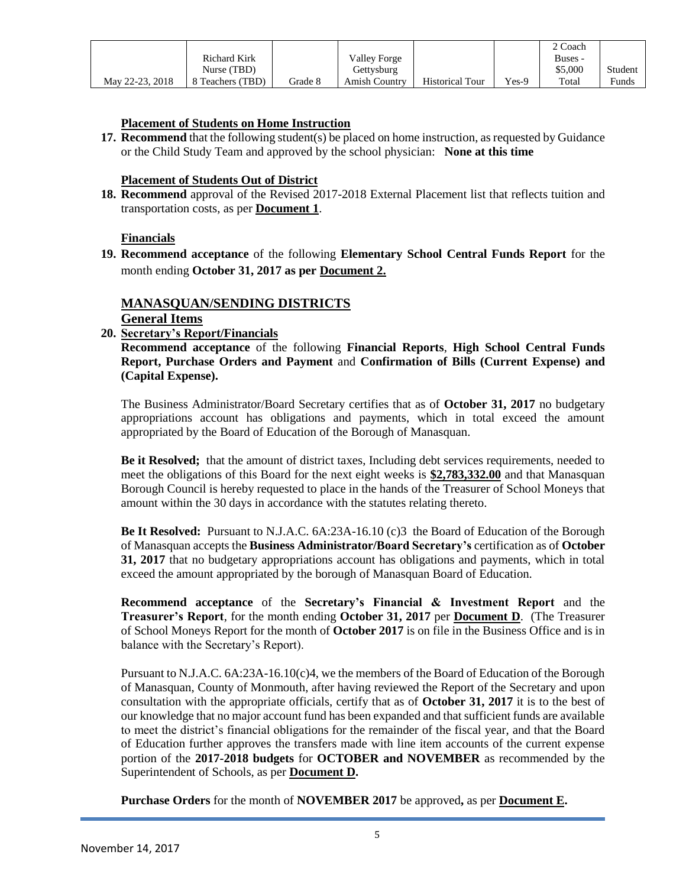|                 |                     |         |                      |                        |         | 2 Coach |         |
|-----------------|---------------------|---------|----------------------|------------------------|---------|---------|---------|
|                 | <b>Richard Kirk</b> |         | <b>Valley Forge</b>  |                        |         | Buses - |         |
|                 | Nurse (TBD)         |         | Gettysburg           |                        |         | \$5.000 | Student |
| May 22-23, 2018 | 8 Teachers (TBD)    | Grade 8 | <b>Amish Country</b> | <b>Historical Tour</b> | $Yes-9$ | Total   | Funds   |

#### **Placement of Students on Home Instruction**

**17. Recommend** that the following student(s) be placed on home instruction, as requested by Guidance or the Child Study Team and approved by the school physician: **None at this time**

#### **Placement of Students Out of District**

**18. Recommend** approval of the Revised 2017-2018 External Placement list that reflects tuition and transportation costs, as per **Document 1**.

#### **Financials**

**19. Recommend acceptance** of the following **Elementary School Central Funds Report** for the month ending **October 31, 2017 as per Document 2.**

# **MANASQUAN/SENDING DISTRICTS**

# **General Items**

**20. Secretary's Report/Financials**

**Recommend acceptance** of the following **Financial Reports**, **High School Central Funds Report, Purchase Orders and Payment** and **Confirmation of Bills (Current Expense) and (Capital Expense).**

The Business Administrator/Board Secretary certifies that as of **October 31, 2017** no budgetary appropriations account has obligations and payments, which in total exceed the amount appropriated by the Board of Education of the Borough of Manasquan.

**Be it Resolved;** that the amount of district taxes, Including debt services requirements, needed to meet the obligations of this Board for the next eight weeks is **\$2,783,332.00** and that Manasquan Borough Council is hereby requested to place in the hands of the Treasurer of School Moneys that amount within the 30 days in accordance with the statutes relating thereto.

**Be It Resolved:** Pursuant to N.J.A.C. 6A:23A-16.10 (c)3 the Board of Education of the Borough of Manasquan accepts the **Business Administrator/Board Secretary's** certification as of **October 31, 2017** that no budgetary appropriations account has obligations and payments, which in total exceed the amount appropriated by the borough of Manasquan Board of Education.

**Recommend acceptance** of the **Secretary's Financial & Investment Report** and the **Treasurer's Report**, for the month ending **October 31, 2017** per **Document D**. (The Treasurer of School Moneys Report for the month of **October 2017** is on file in the Business Office and is in balance with the Secretary's Report).

Pursuant to N.J.A.C. 6A:23A-16.10(c)4, we the members of the Board of Education of the Borough of Manasquan, County of Monmouth, after having reviewed the Report of the Secretary and upon consultation with the appropriate officials, certify that as of **October 31, 2017** it is to the best of our knowledge that no major account fund has been expanded and that sufficient funds are available to meet the district's financial obligations for the remainder of the fiscal year, and that the Board of Education further approves the transfers made with line item accounts of the current expense portion of the **2017-2018 budgets** for **OCTOBER and NOVEMBER** as recommended by the Superintendent of Schools, as per **Document D.**

**Purchase Orders** for the month of **NOVEMBER 2017** be approved**,** as per **Document E.**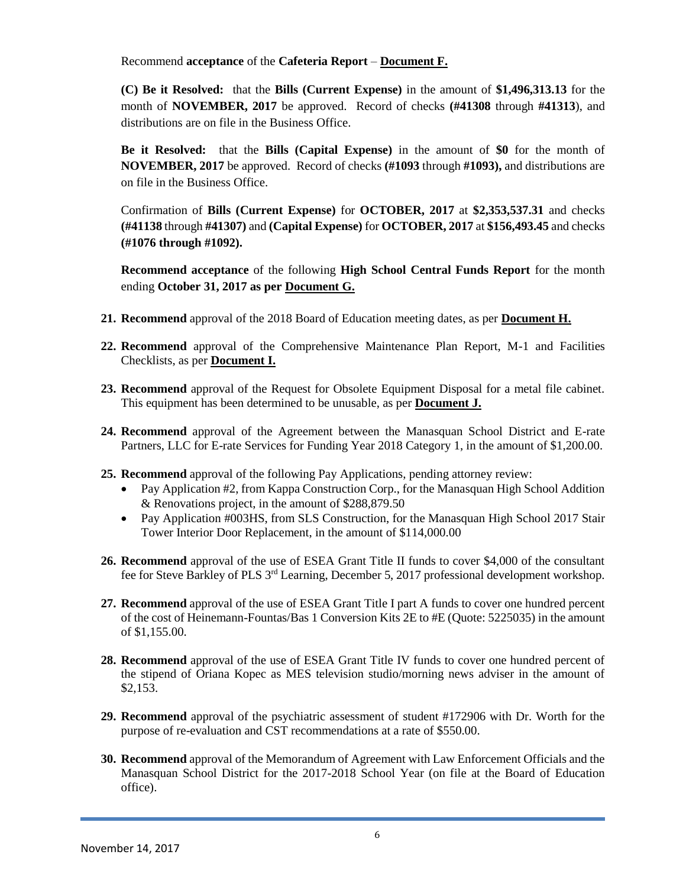Recommend **acceptance** of the **Cafeteria Report** – **Document F.**

**(C) Be it Resolved:** that the **Bills (Current Expense)** in the amount of **\$1,496,313.13** for the month of **NOVEMBER, 2017** be approved. Record of checks **(#41308** through **#41313**), and distributions are on file in the Business Office.

**Be it Resolved:** that the **Bills (Capital Expense)** in the amount of **\$0** for the month of **NOVEMBER, 2017** be approved. Record of checks **(#1093** through **#1093),** and distributions are on file in the Business Office.

Confirmation of **Bills (Current Expense)** for **OCTOBER, 2017** at **\$2,353,537.31** and checks **(#41138** through **#41307)** and **(Capital Expense)** for **OCTOBER, 2017** at **\$156,493.45** and checks **(#1076 through #1092).**

**Recommend acceptance** of the following **High School Central Funds Report** for the month ending **October 31, 2017 as per Document G.**

- **21. Recommend** approval of the 2018 Board of Education meeting dates, as per **Document H.**
- **22. Recommend** approval of the Comprehensive Maintenance Plan Report, M-1 and Facilities Checklists, as per **Document I.**
- **23. Recommend** approval of the Request for Obsolete Equipment Disposal for a metal file cabinet. This equipment has been determined to be unusable, as per **Document J.**
- **24. Recommend** approval of the Agreement between the Manasquan School District and E-rate Partners, LLC for E-rate Services for Funding Year 2018 Category 1, in the amount of \$1,200.00.
- **25. Recommend** approval of the following Pay Applications, pending attorney review:
	- Pay Application #2, from Kappa Construction Corp., for the Manasquan High School Addition & Renovations project, in the amount of \$288,879.50
	- Pay Application #003HS, from SLS Construction, for the Manasquan High School 2017 Stair Tower Interior Door Replacement, in the amount of \$114,000.00
- **26. Recommend** approval of the use of ESEA Grant Title II funds to cover \$4,000 of the consultant fee for Steve Barkley of PLS 3rd Learning, December 5, 2017 professional development workshop.
- **27. Recommend** approval of the use of ESEA Grant Title I part A funds to cover one hundred percent of the cost of Heinemann-Fountas/Bas 1 Conversion Kits 2E to #E (Quote: 5225035) in the amount of \$1,155.00.
- **28. Recommend** approval of the use of ESEA Grant Title IV funds to cover one hundred percent of the stipend of Oriana Kopec as MES television studio/morning news adviser in the amount of \$2,153.
- **29. Recommend** approval of the psychiatric assessment of student #172906 with Dr. Worth for the purpose of re-evaluation and CST recommendations at a rate of \$550.00.
- **30. Recommend** approval of the Memorandum of Agreement with Law Enforcement Officials and the Manasquan School District for the 2017-2018 School Year (on file at the Board of Education office).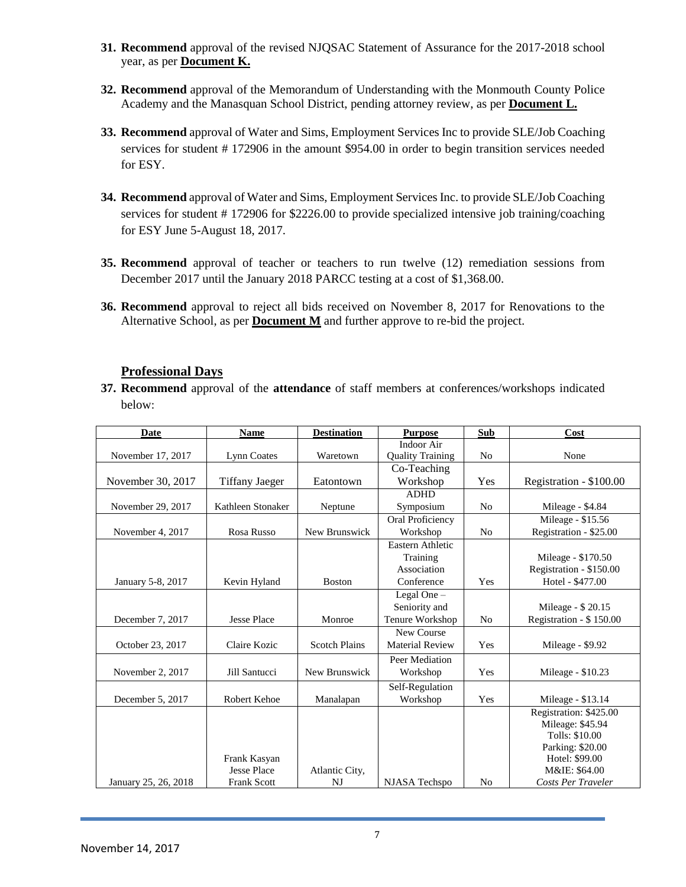- **31. Recommend** approval of the revised NJQSAC Statement of Assurance for the 2017-2018 school year, as per **Document K.**
- **32. Recommend** approval of the Memorandum of Understanding with the Monmouth County Police Academy and the Manasquan School District, pending attorney review, as per **Document L.**
- **33. Recommend** approval of Water and Sims, Employment Services Inc to provide SLE/Job Coaching services for student # 172906 in the amount \$954.00 in order to begin transition services needed for ESY.
- **34. Recommend** approval of Water and Sims, Employment Services Inc. to provide SLE/Job Coaching services for student # 172906 for \$2226.00 to provide specialized intensive job training/coaching for ESY June 5-August 18, 2017.
- **35. Recommend** approval of teacher or teachers to run twelve (12) remediation sessions from December 2017 until the January 2018 PARCC testing at a cost of \$1,368.00.
- **36. Recommend** approval to reject all bids received on November 8, 2017 for Renovations to the Alternative School, as per **Document M** and further approve to re-bid the project.

#### **Professional Days**

**37. Recommend** approval of the **attendance** of staff members at conferences/workshops indicated below:

| <b>Date</b>          | <b>Name</b>           | <b>Destination</b>   | <b>Purpose</b>          | <b>Sub</b>     | Cost                    |
|----------------------|-----------------------|----------------------|-------------------------|----------------|-------------------------|
|                      |                       |                      | Indoor Air              |                |                         |
| November 17, 2017    | Lynn Coates           | Waretown             | <b>Quality Training</b> | N <sub>0</sub> | None                    |
|                      |                       |                      | Co-Teaching             |                |                         |
| November 30, 2017    | <b>Tiffany Jaeger</b> | Eatontown            | Workshop                | Yes            | Registration - \$100.00 |
|                      |                       |                      | <b>ADHD</b>             |                |                         |
| November 29, 2017    | Kathleen Stonaker     | Neptune              | Symposium               | N <sub>0</sub> | Mileage - \$4.84        |
|                      |                       |                      | Oral Proficiency        |                | Mileage - \$15.56       |
| November 4, 2017     | Rosa Russo            | New Brunswick        | Workshop                | N <sub>0</sub> | Registration - \$25.00  |
|                      |                       |                      | Eastern Athletic        |                |                         |
|                      |                       |                      | Training                |                | Mileage - \$170.50      |
|                      |                       |                      | Association             |                | Registration - \$150.00 |
| January 5-8, 2017    | Kevin Hyland          | <b>Boston</b>        | Conference              | Yes            | Hotel - \$477.00        |
|                      |                       |                      | Legal One -             |                |                         |
|                      |                       |                      | Seniority and           |                | Mileage - \$20.15       |
| December 7, 2017     | <b>Jesse Place</b>    | Monroe               | Tenure Workshop         | N <sub>0</sub> | Registration - \$150.00 |
|                      |                       |                      | New Course              |                |                         |
| October 23, 2017     | Claire Kozic          | <b>Scotch Plains</b> | <b>Material Review</b>  | Yes            | Mileage - \$9.92        |
|                      |                       |                      | Peer Mediation          |                |                         |
| November 2, 2017     | Jill Santucci         | New Brunswick        | Workshop                | Yes            | Mileage - $$10.23$      |
|                      |                       |                      | Self-Regulation         |                |                         |
| December 5, 2017     | <b>Robert Kehoe</b>   | Manalapan            | Workshop                | Yes            | Mileage - \$13.14       |
|                      |                       |                      |                         |                | Registration: \$425.00  |
|                      |                       |                      |                         |                | Mileage: \$45.94        |
|                      |                       |                      |                         |                | Tolls: \$10.00          |
|                      |                       |                      |                         |                | Parking: \$20.00        |
|                      | Frank Kasyan          |                      |                         |                | Hotel: \$99.00          |
|                      | <b>Jesse Place</b>    | Atlantic City,       |                         |                | M&IE: \$64.00           |
| January 25, 26, 2018 | <b>Frank Scott</b>    | NJ                   | NJASA Techspo           | No             | Costs Per Traveler      |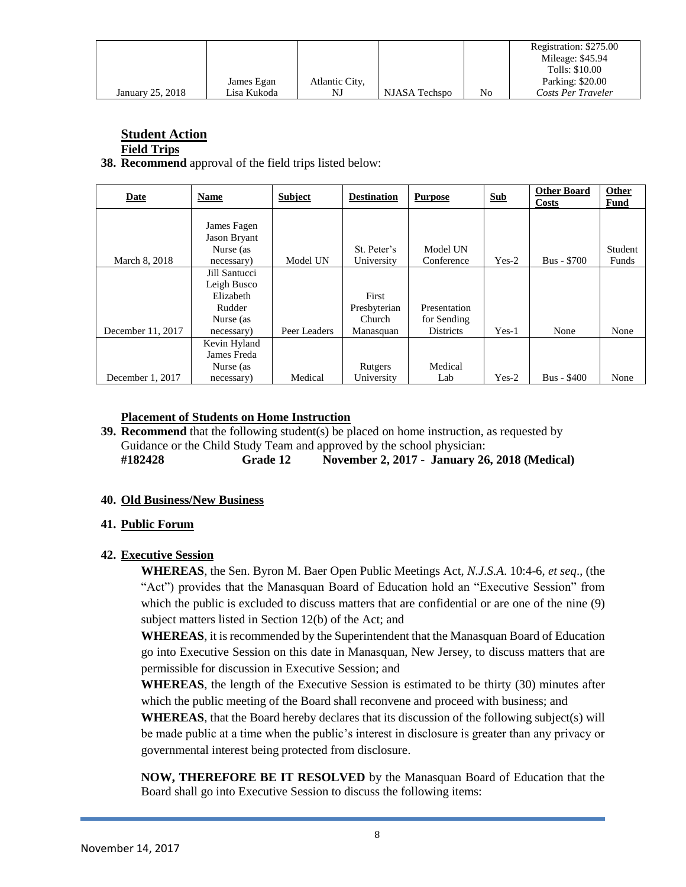|                  |             |                |               |    | Registration: \$275.00<br>Mileage: \$45.94<br>Tolls: \$10.00 |
|------------------|-------------|----------------|---------------|----|--------------------------------------------------------------|
|                  | James Egan  | Atlantic City, |               |    | Parking: \$20.00                                             |
|                  |             |                |               |    |                                                              |
| January 25, 2018 | Lisa Kukoda | NJ             | NJASA Techspo | No | Costs Per Traveler                                           |

# **Student Action**

**Field Trips**

**38. Recommend** approval of the field trips listed below:

| <b>Date</b>       | <b>Name</b>   | <b>Subject</b> | <b>Destination</b> | <b>Purpose</b>   | <b>Sub</b> | <b>Other Board</b><br>Costs | Other<br>Fund |
|-------------------|---------------|----------------|--------------------|------------------|------------|-----------------------------|---------------|
|                   |               |                |                    |                  |            |                             |               |
|                   | James Fagen   |                |                    |                  |            |                             |               |
|                   | Jason Bryant  |                |                    |                  |            |                             |               |
|                   | Nurse (as     |                | St. Peter's        | Model UN         |            |                             | Student       |
| March 8, 2018     | necessary)    | Model UN       | University         | Conference       | $Yes-2$    | <b>Bus - \$700</b>          | Funds         |
|                   | Jill Santucci |                |                    |                  |            |                             |               |
|                   | Leigh Busco   |                |                    |                  |            |                             |               |
|                   | Elizabeth     |                | First              |                  |            |                             |               |
|                   | Rudder        |                | Presbyterian       | Presentation     |            |                             |               |
|                   | Nurse (as     |                | Church             | for Sending      |            |                             |               |
| December 11, 2017 | necessary)    | Peer Leaders   | Manasquan          | <b>Districts</b> | $Yes-1$    | None                        | None          |
|                   | Kevin Hyland  |                |                    |                  |            |                             |               |
|                   | James Freda   |                |                    |                  |            |                             |               |
|                   | Nurse (as     |                | Rutgers            | Medical          |            |                             |               |
| December 1, 2017  | necessary)    | Medical        | University         | Lab              | $Yes-2$    | <b>Bus - \$400</b>          | None          |

#### **Placement of Students on Home Instruction**

**39. Recommend** that the following student(s) be placed on home instruction, as requested by Guidance or the Child Study Team and approved by the school physician: **#182428 Grade 12 November 2, 2017 - January 26, 2018 (Medical)**

## **40. Old Business/New Business**

## **41. Public Forum**

## **42. Executive Session**

**WHEREAS**, the Sen. Byron M. Baer Open Public Meetings Act, *N.J.S.A*. 10:4-6, *et seq*., (the "Act") provides that the Manasquan Board of Education hold an "Executive Session" from which the public is excluded to discuss matters that are confidential or are one of the nine (9) subject matters listed in Section 12(b) of the Act; and

**WHEREAS**, it is recommended by the Superintendent that the Manasquan Board of Education go into Executive Session on this date in Manasquan, New Jersey, to discuss matters that are permissible for discussion in Executive Session; and

**WHEREAS**, the length of the Executive Session is estimated to be thirty (30) minutes after which the public meeting of the Board shall reconvene and proceed with business; and

**WHEREAS**, that the Board hereby declares that its discussion of the following subject(s) will be made public at a time when the public's interest in disclosure is greater than any privacy or governmental interest being protected from disclosure.

**NOW, THEREFORE BE IT RESOLVED** by the Manasquan Board of Education that the Board shall go into Executive Session to discuss the following items: